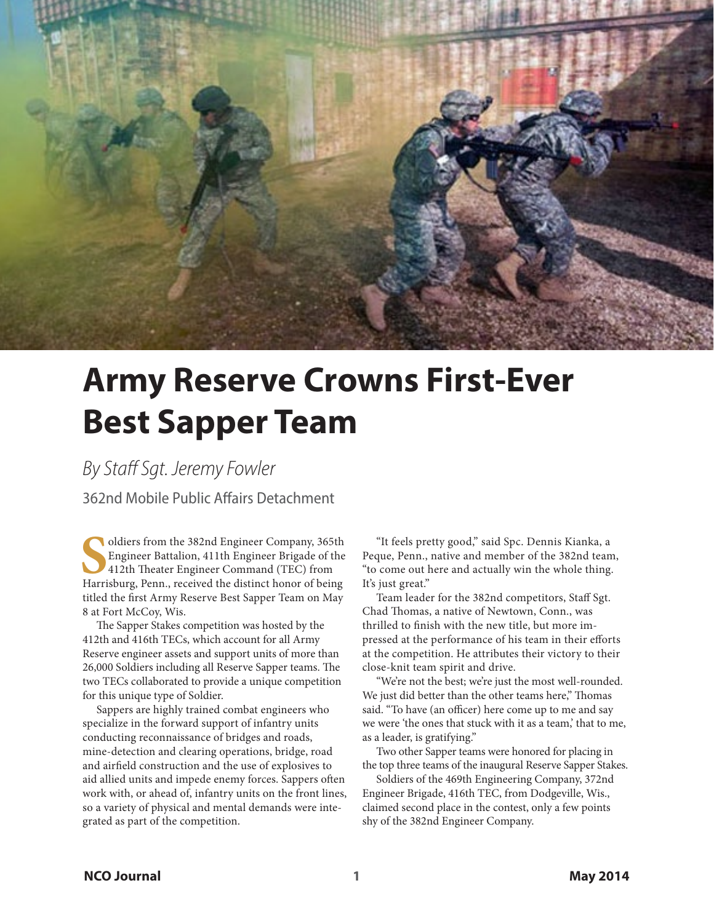

## **Army Reserve Crowns First-Ever Best Sapper Team**

*By Staff Sgt. Jeremy Fowler*

362nd Mobile Public Affairs Detachment

Oldiers from the 382nd Engineer Company, 365th<br>
Engineer Battalion, 411th Engineer Brigade of the<br>
412th Theater Engineer Command (TEC) from<br>
Harrisburg, Penn., received the distinct honor of being oldiers from the 382nd Engineer Company, 365th Engineer Battalion, 411th Engineer Brigade of the 412th Theater Engineer Command (TEC) from titled the first Army Reserve Best Sapper Team on May 8 at Fort McCoy, Wis.

The Sapper Stakes competition was hosted by the 412th and 416th TECs, which account for all Army Reserve engineer assets and support units of more than 26,000 Soldiers including all Reserve Sapper teams. The two TECs collaborated to provide a unique competition for this unique type of Soldier.

Sappers are highly trained combat engineers who specialize in the forward support of infantry units conducting reconnaissance of bridges and roads, mine-detection and clearing operations, bridge, road and airfield construction and the use of explosives to aid allied units and impede enemy forces. Sappers often work with, or ahead of, infantry units on the front lines, so a variety of physical and mental demands were integrated as part of the competition.

"It feels pretty good," said Spc. Dennis Kianka, a Peque, Penn., native and member of the 382nd team, "to come out here and actually win the whole thing. It's just great."

Team leader for the 382nd competitors, Staff Sgt. Chad Thomas, a native of Newtown, Conn., was thrilled to finish with the new title, but more impressed at the performance of his team in their efforts at the competition. He attributes their victory to their close-knit team spirit and drive.

"We're not the best; we're just the most well-rounded. We just did better than the other teams here," Thomas said. "To have (an officer) here come up to me and say we were 'the ones that stuck with it as a team,' that to me, as a leader, is gratifying."

Two other Sapper teams were honored for placing in the top three teams of the inaugural Reserve Sapper Stakes.

Soldiers of the 469th Engineering Company, 372nd Engineer Brigade, 416th TEC, from Dodgeville, Wis., claimed second place in the contest, only a few points shy of the 382nd Engineer Company.